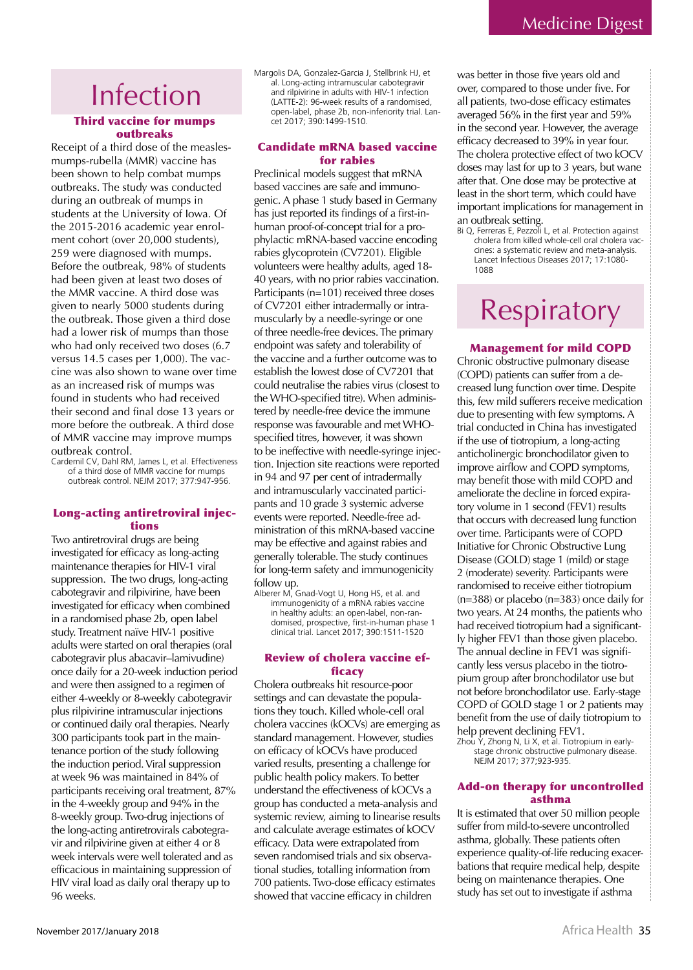### Infection

#### **Third vaccine for mumps** outhreaks

Receipt of a third dose of the measlesmumps-rubella (MMR) vaccine has been shown to help combat mumps outbreaks. The study was conducted during an outbreak of mumps in students at the University of Iowa. Of the 2015-2016 academic year enrolment cohort (over 20,000 students), 259 were diagnosed with mumps. Before the outbreak, 98% of students had been given at least two doses of the MMR vaccine. A third dose was given to nearly 5000 students during the outbreak. Those given a third dose had a lower risk of mumps than those who had only received two doses (6.7 versus 14.5 cases per 1,000). The vaccine was also shown to wane over time as an increased risk of mumps was found in students who had received their second and final dose 13 years or more before the outbreak. A third dose of MMR vaccine may improve mumps outbreak control.

Cardemil CV, Dahl RM, James L, et al. Effectiveness of a third dose of MMR vaccine for mumps outbreak control. NEJM 2017; 377:947-956.

#### Long-acting antiretroviral injections

Two antiretroviral drugs are being investigated for efficacy as long-acting maintenance therapies for HIV-1 viral suppression. The two drugs, long-acting cabotegravir and rilpivirine, have been investigated for efficacy when combined in a randomised phase 2b, open label study. Treatment naïve HIV-1 positive adults were started on oral therapies (oral cabotegravir plus abacavir-lamivudine) once daily for a 20-week induction period and were then assigned to a regimen of either 4-weekly or 8-weekly cabotegravir plus rilpivirine intramuscular injections or continued daily oral therapies. Nearly 300 participants took part in the maintenance portion of the study following the induction period. Viral suppression at week 96 was maintained in 84% of participants receiving oral treatment, 87% in the 4-weekly group and 94% in the 8-weekly group. Two-drug injections of the long-acting antiretrovirals cabotegravir and rilpivirine given at either 4 or 8 week intervals were well tolerated and as efficacious in maintaining suppression of HIV viral load as daily oral therapy up to 96 weeks

Margolis DA, Gonzalez-Garcia J, Stellbrink HJ, et al. Long-acting intramuscular cabotegravir and rilpivirine in adults with HIV-1 infection (LATTE-2): 96-week results of a randomised, open-label, phase 2b, non-inferiority trial. Lancet 2017: 390:1499-1510

#### **Candidate mRNA based vaccine** for rabies

Preclinical models suggest that mRNA based vaccines are safe and immunogenic. A phase 1 study based in Germany has just reported its findings of a first-inhuman proof-of-concept trial for a prophylactic mRNA-based vaccine encoding rabies glycoprotein (CV7201). Eligible volunteers were healthy adults, aged 18-40 years, with no prior rabies vaccination. Participants (n=101) received three doses of CV7201 either intradermally or intramuscularly by a needle-syringe or one of three needle-free devices. The primary endpoint was safety and tolerability of the vaccine and a further outcome was to establish the lowest dose of CV7201 that could neutralise the rabies virus (closest to the WHO-specified titre). When administered by needle-free device the immune response was favourable and met WHOspecified titres, however, it was shown to be ineffective with needle-syringe injection. Injection site reactions were reported in 94 and 97 per cent of intradermally and intramuscularly vaccinated participants and 10 grade 3 systemic adverse events were reported. Needle-free administration of this mRNA-based vaccine may be effective and against rabies and generally tolerable. The study continues for long-term safety and immunogenicity follow up.

Alberer M, Gnad-Vogt U, Hong HS, et al. and immunogenicity of a mRNA rabies vaccine in healthy adults: an open-label, non-randomised, prospective, first-in-human phase 1 clinical trial. Lancet 2017; 390:1511-1520

#### **Review of cholera vaccine ef**ficacy

Cholera outbreaks hit resource-poor settings and can devastate the populations they touch. Killed whole-cell oral cholera vaccines (kOCVs) are emerging as standard management. However, studies on efficacy of kOCVs have produced varied results, presenting a challenge for public health policy makers. To better understand the effectiveness of kOCVs a group has conducted a meta-analysis and systemic review, aiming to linearise results and calculate average estimates of kOCV efficacy. Data were extrapolated from seven randomised trials and six observational studies, totalling information from 700 patients. Two-dose efficacy estimates showed that vaccine efficacy in children

was better in those five years old and over, compared to those under five. For all patients, two-dose efficacy estimates averaged 56% in the first year and 59% in the second year. However, the average efficacy decreased to 39% in year four. The cholera protective effect of two kOCV doses may last for up to 3 years, but wane after that. One dose may be protective at least in the short term, which could have important implications for management in an outbreak setting.<br>Bi Q, Ferreras E, Pezzoli L, et al. Protection against

cholera from killed whole-cell oral cholera vaccines: a systematic review and meta-analysis. Lancet Infectious Diseases 2017; 17:1080-1088

### Respiratory

#### **Management for mild COPD**

Chronic obstructive pulmonary disease (COPD) patients can suffer from a decreased lung function over time. Despite this, few mild sufferers receive medication due to presenting with few symptoms. A trial conducted in China has investigated if the use of tiotropium, a long-acting anticholinergic bronchodilator given to improve airflow and COPD symptoms, may benefit those with mild COPD and ameliorate the decline in forced expiratory volume in 1 second (FEV1) results that occurs with decreased lung function over time. Participants were of COPD Initiative for Chronic Obstructive Lung Disease (GOLD) stage 1 (mild) or stage 2 (moderate) severity. Participants were randomised to receive either tiotropium  $(n=388)$  or placebo  $(n=383)$  once daily for two years. At 24 months, the patients who had received tiotropium had a significantly higher FEV1 than those given placebo. The annual decline in FEV1 was significantly less versus placebo in the tiotropium group after bronchodilator use but not before bronchodilator use. Early-stage COPD of GOLD stage 1 or 2 patients may benefit from the use of daily tiotropium to help prevent declining FEV1.

Zhou Y, Zhong N, Li X, et al. Tiotropium in earlystage chronic obstructive pulmonary disease.<br>NEJM 2017; 377;923-935.

#### **Add-on therapy for uncontrolled** asthma

It is estimated that over 50 million people suffer from mild-to-severe uncontrolled asthma, globally. These patients often experience quality-of-life reducing exacerbations that require medical help, despite being on maintenance therapies. One study has set out to investigate if asthma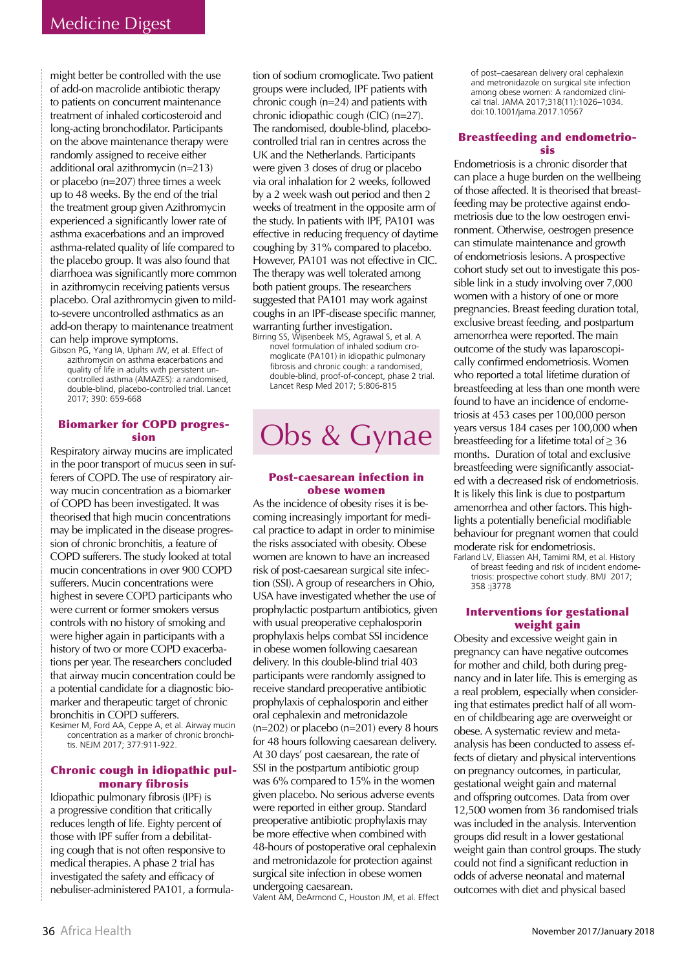might better be controlled with the use of add-on macrolide antibiotic therapy to patients on concurrent maintenance treatment of inhaled corticosteroid and long-acting bronchodilator. Participants on the above maintenance therapy were randomly assigned to receive either additional oral azithromycin (n=213) or placebo  $(n=207)$  three times a week up to 48 weeks. By the end of the trial the treatment group given Azithromycin experienced a significantly lower rate of asthma exacerbations and an improved asthma-related quality of life compared to the placebo group. It was also found that diarrhoea was significantly more common in azithromycin receiving patients versus placebo. Oral azithromycin given to mildto-severe uncontrolled asthmatics as an add-on therapy to maintenance treatment can help improve symptoms.

Gibson PG, Yang IA, Upham JW, et al. Effect of azithromycin on asthma exacerbations and quality of life in adults with persistent uncontrolled asthma (AMAZES): a randomised. double-blind, placebo-controlled trial. Lancet 2017: 390: 659-668

#### **Biomarker for COPD progres**sion

Respiratory airway mucins are implicated in the poor transport of mucus seen in sufferers of COPD. The use of respiratory airway mucin concentration as a biomarker of COPD has been investigated. It was theorised that high mucin concentrations may be implicated in the disease progression of chronic bronchitis, a feature of COPD sufferers. The study looked at total mucin concentrations in over 900 COPD sufferers. Mucin concentrations were highest in severe COPD participants who were current or former smokers versus controls with no history of smoking and were higher again in participants with a history of two or more COPD exacerbations per year. The researchers concluded that airway mucin concentration could be a potential candidate for a diagnostic biomarker and therapeutic target of chronic bronchitis in COPD sufferers.

Kesimer M, Ford AA, Ceppe A, et al. Airway mucin concentration as a marker of chronic bronchitis. NEJM 2017; 377:911-922.

#### Chronic cough in idiopathic pulmonary fibrosis

Idiopathic pulmonary fibrosis (IPF) is a progressive condition that critically reduces length of life. Eighty percent of those with IPF suffer from a debilitating cough that is not often responsive to medical therapies. A phase 2 trial has investigated the safety and efficacy of nebuliser-administered PA101, a formulation of sodium cromoglicate. Two patient groups were included, IPF patients with chronic cough  $(n=24)$  and patients with chronic idiopathic cough (CIC) (n=27). The randomised, double-blind, placebocontrolled trial ran in centres across the UK and the Netherlands. Participants were given 3 doses of drug or placebo via oral inhalation for 2 weeks, followed by a 2 week wash out period and then 2 weeks of treatment in the opposite arm of the study. In patients with IPF, PA101 was effective in reducing frequency of daytime coughing by 31% compared to placebo. However, PA101 was not effective in CIC. The therapy was well tolerated among both patient groups. The researchers suggested that PA101 may work against coughs in an IPF-disease specific manner, warranting further investigation.

Birring SS, Wijsenbeek MS, Agrawal S, et al. A novel formulation of inhaled sodium cromoglicate (PA101) in idiopathic pulmonary fibrosis and chronic cough: a randomised, double-blind, proof-of-concept, phase 2 trial. Lancet Resp Med 2017; 5:806-815

# Obs & Gynae

#### **Post-caesarean infection in** obese women

As the incidence of obesity rises it is becoming increasingly important for medical practice to adapt in order to minimise the risks associated with obesity. Obese women are known to have an increased risk of post-caesarean surgical site infection (SSI). A group of researchers in Ohio, USA have investigated whether the use of prophylactic postpartum antibiotics, given with usual preoperative cephalosporin prophylaxis helps combat SSI incidence in obese women following caesarean delivery. In this double-blind trial 403 participants were randomly assigned to receive standard preoperative antibiotic prophylaxis of cephalosporin and either oral cephalexin and metronidazole  $(n=202)$  or placebo  $(n=201)$  every 8 hours for 48 hours following caesarean delivery. At 30 days' post caesarean, the rate of SSI in the postpartum antibiotic group was 6% compared to 15% in the women given placebo. No serious adverse events were reported in either group. Standard preoperative antibiotic prophylaxis may be more effective when combined with 48-hours of postoperative oral cephalexin and metronidazole for protection against surgical site infection in obese women undergoing caesarean. Valent AM, DeArmond C, Houston JM, et al. Effect

of post-caesarean delivery oral cephalexin and metronidazole on surgical site infection among obese women: A randomized clinical trial. JAMA 2017:318(11):1026-1034. doi:10.1001/jama.2017.10567

#### **Breastfeeding and endometrio**sis

Endometriosis is a chronic disorder that can place a huge burden on the wellbeing of those affected. It is theorised that breastfeeding may be protective against endometriosis due to the low oestrogen environment. Otherwise, oestrogen presence can stimulate maintenance and growth of endometriosis lesions. A prospective cohort study set out to investigate this possible link in a study involving over 7,000 women with a history of one or more pregnancies. Breast feeding duration total, exclusive breast feeding, and postpartum amenorrhea were reported. The main outcome of the study was laparoscopically confirmed endometriosis. Women who reported a total lifetime duration of breastfeeding at less than one month were found to have an incidence of endometriosis at 453 cases per 100,000 person years versus 184 cases per 100,000 when breastfeeding for a lifetime total of  $\geq$  36 months. Duration of total and exclusive breastfeeding were significantly associated with a decreased risk of endometriosis. It is likely this link is due to postpartum amenorrhea and other factors. This highlights a potentially beneficial modifiable behaviour for pregnant women that could moderate risk for endometriosis.

Farland LV, Eliassen AH, Tamimi RM, et al. History of breast feeding and risk of incident endometriosis: prospective cohort study. BMJ 2017; 358:j3778

#### **Interventions for gestational** weight gain

Obesity and excessive weight gain in pregnancy can have negative outcomes for mother and child, both during pregnancy and in later life. This is emerging as a real problem, especially when considering that estimates predict half of all women of childbearing age are overweight or obese. A systematic review and metaanalysis has been conducted to assess effects of dietary and physical interventions on pregnancy outcomes, in particular, gestational weight gain and maternal and offspring outcomes. Data from over 12,500 women from 36 randomised trials was included in the analysis. Intervention groups did result in a lower gestational weight gain than control groups. The study could not find a significant reduction in odds of adverse neonatal and maternal outcomes with diet and physical based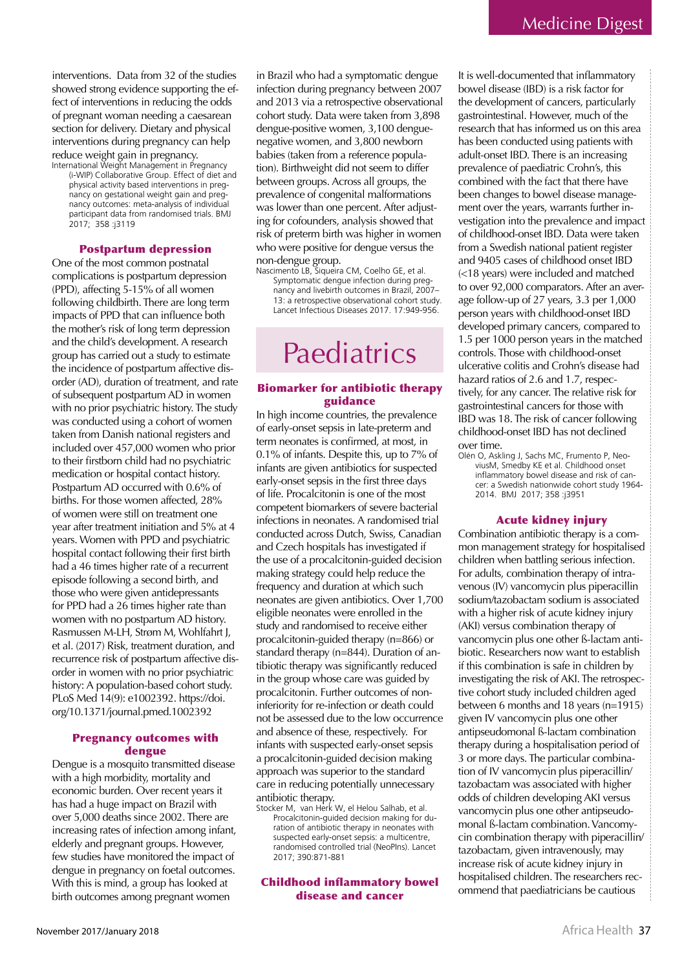interventions. Data from 32 of the studies showed strong evidence supporting the effect of interventions in reducing the odds of pregnant woman needing a caesarean section for delivery. Dietary and physical interventions during pregnancy can help reduce weight gain in pregnancy. International Weight Management in Pregnancy

(i-WIP) Collaborative Group. Effect of diet and physical activity based interventions in pregnancy on gestational weight gain and pregnancy outcomes: meta-analysis of individual participant data from randomised trials. BMJ 2017; 358: 3119

#### **Postpartum depression**

One of the most common postnatal complications is postpartum depression (PPD), affecting 5-15% of all women following childbirth. There are long term impacts of PPD that can influence both the mother's risk of long term depression and the child's development. A research group has carried out a study to estimate the incidence of postpartum affective disorder (AD), duration of treatment, and rate of subsequent postpartum AD in women with no prior psychiatric history. The study was conducted using a cohort of women taken from Danish national registers and included over 457,000 women who prior to their firstborn child had no psychiatric medication or hospital contact history. Postpartum AD occurred with 0.6% of births. For those women affected, 28% of women were still on treatment one year after treatment initiation and 5% at 4 years. Women with PPD and psychiatric hospital contact following their first birth had a 46 times higher rate of a recurrent episode following a second birth, and those who were given antidepressants for PPD had a 26 times higher rate than women with no postpartum AD history. Rasmussen M-LH, Strøm M, Wohlfahrt J, et al. (2017) Risk, treatment duration, and recurrence risk of postpartum affective disorder in women with no prior psychiatric history: A population-based cohort study. PLoS Med 14(9): e1002392. https://doi. org/10.1371/journal.pmed.1002392

#### **Pregnancy outcomes with** dengue

Dengue is a mosquito transmitted disease with a high morbidity, mortality and economic burden. Over recent years it has had a huge impact on Brazil with over 5,000 deaths since 2002. There are increasing rates of infection among infant, elderly and pregnant groups. However, few studies have monitored the impact of dengue in pregnancy on foetal outcomes. With this is mind, a group has looked at birth outcomes among pregnant women

in Brazil who had a symptomatic dengue infection during pregnancy between 2007 and 2013 via a retrospective observational cohort study. Data were taken from 3,898 dengue-positive women, 3,100 denguenegative women, and 3,800 newborn babies (taken from a reference population). Birthweight did not seem to differ between groups. Across all groups, the prevalence of congenital malformations was lower than one percent. After adjusting for cofounders, analysis showed that risk of preterm birth was higher in women who were positive for dengue versus the non-dengue group.

Nascimento LB, Sigueira CM, Coelho GE, et al. Symptomatic dengue infection during preg-<br>nancy and livebirth outcomes in Brazil, 2007– 13: a retrospective observational cohort study. Lancet Infectious Diseases 2017. 17:949-956.

### Paediatrics

#### **Biomarker for antibiotic therapy** guidance

In high income countries, the prevalence of early-onset sepsis in late-preterm and term neonates is confirmed, at most, in 0.1% of infants. Despite this, up to 7% of infants are given antibiotics for suspected early-onset sepsis in the first three days of life. Procalcitonin is one of the most competent biomarkers of severe bacterial infections in neonates. A randomised trial conducted across Dutch, Swiss, Canadian and Czech hospitals has investigated if the use of a procalcitonin-guided decision making strategy could help reduce the frequency and duration at which such neonates are given antibiotics. Over 1,700 eligible neonates were enrolled in the study and randomised to receive either procalcitonin-guided therapy (n=866) or standard therapy (n=844). Duration of antibiotic therapy was significantly reduced in the group whose care was guided by procalcitonin. Further outcomes of noninferiority for re-infection or death could not be assessed due to the low occurrence and absence of these, respectively. For infants with suspected early-onset sepsis a procalcitonin-guided decision making approach was superior to the standard care in reducing potentially unnecessary antibiotic therapy.

Stocker M, van Herk W, el Helou Salhab, et al. Procalcitonin-guided decision making for duration of antibiotic therapy in neonates with suspected early-onset sepsis: a multicentre, randomised controlled trial (NeoPIns). Lancet 2017; 390:871-881

**Childhood inflammatory bowel** disease and cancer

It is well-documented that inflammatory bowel disease (IBD) is a risk factor for the development of cancers, particularly gastrointestinal. However, much of the research that has informed us on this area has been conducted using patients with adult-onset IBD. There is an increasing prevalence of paediatric Crohn's, this combined with the fact that there have been changes to bowel disease management over the years, warrants further investigation into the prevalence and impact of childhood-onset IBD. Data were taken from a Swedish national patient register and 9405 cases of childhood onset IBD (<18 years) were included and matched to over 92,000 comparators. After an average follow-up of 27 years, 3.3 per 1,000 person years with childhood-onset IBD developed primary cancers, compared to 1.5 per 1000 person years in the matched controls. Those with childhood-onset ulcerative colitis and Crohn's disease had hazard ratios of 2.6 and 1.7, respectively, for any cancer. The relative risk for gastrointestinal cancers for those with IBD was 18. The risk of cancer following childhood-onset IBD has not declined over time

Olén O, Askling J, Sachs MC, Frumento P, NeoviusM, Smedby KE et al. Childhood onset inflammatory bowel disease and risk of cancer: a Swedish nationwide cohort study 1964-2014. BMJ 2017; 358 :j3951

#### **Acute kidney injury**

Combination antibiotic therapy is a common management strategy for hospitalised children when battling serious infection. For adults, combination therapy of intravenous (IV) vancomycin plus piperacillin sodium/tazobactam sodium is associated with a higher risk of acute kidney injury (AKI) versus combination therapy of vancomycin plus one other ß-lactam antibiotic. Researchers now want to establish if this combination is safe in children by investigating the risk of AKI. The retrospective cohort study included children aged between 6 months and 18 years  $(n=1915)$ given IV vancomycin plus one other antipseudomonal ß-lactam combination therapy during a hospitalisation period of 3 or more days. The particular combination of IV vancomycin plus piperacillin/ tazobactam was associated with higher odds of children developing AKI versus vancomycin plus one other antipseudomonal ß-lactam combination. Vancomycin combination therapy with piperacillin/ tazobactam, given intravenously, may increase risk of acute kidney injury in hospitalised children. The researchers recommend that paediatricians be cautious